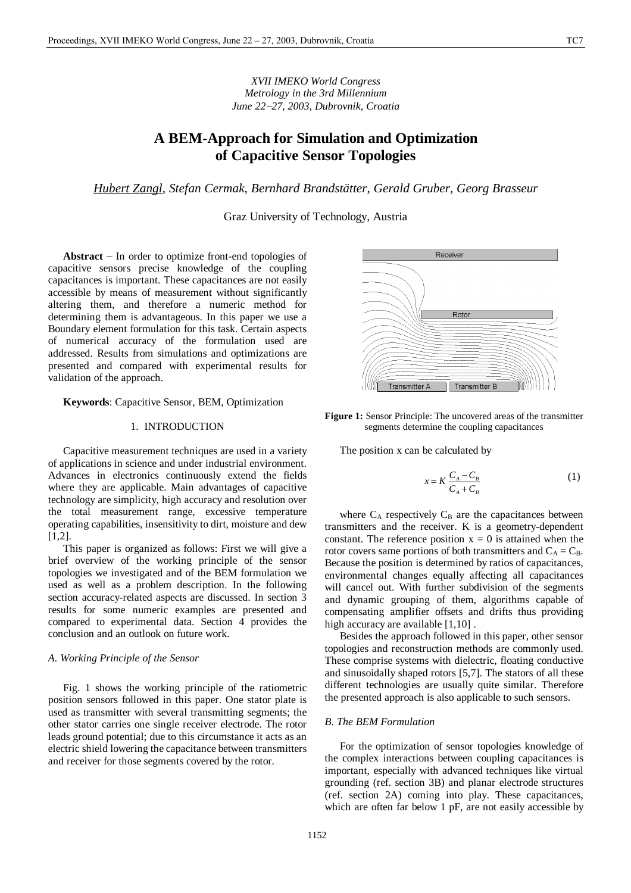*XVII IMEKO World Congress Metrology in the 3rd Millennium June 22*−*27, 2003, Dubrovnik, Croatia*

# **A BEM-Approach for Simulation and Optimization of Capacitive Sensor Topologies**

# *Hubert Zangl, Stefan Cermak, Bernhard Brandstätter, Gerald Gruber, Georg Brasseur*

Graz University of Technology, Austria

**Abstract** − In order to optimize front-end topologies of capacitive sensors precise knowledge of the coupling capacitances is important. These capacitances are not easily accessible by means of measurement without significantly altering them, and therefore a numeric method for determining them is advantageous. In this paper we use a Boundary element formulation for this task. Certain aspects of numerical accuracy of the formulation used are addressed. Results from simulations and optimizations are presented and compared with experimental results for validation of the approach.

**Keywords**: Capacitive Sensor, BEM, Optimization

## 1. INTRODUCTION

Capacitive measurement techniques are used in a variety of applications in science and under industrial environment. Advances in electronics continuously extend the fields where they are applicable. Main advantages of capacitive technology are simplicity, high accuracy and resolution over the total measurement range, excessive temperature operating capabilities, insensitivity to dirt, moisture and dew [1,2].

This paper is organized as follows: First we will give a brief overview of the working principle of the sensor topologies we investigated and of the BEM formulation we used as well as a problem description. In the following section accuracy-related aspects are discussed. In section 3 results for some numeric examples are presented and compared to experimental data. Section 4 provides the conclusion and an outlook on future work.

## *A. Working Principle of the Sensor*

Fig. 1 shows the working principle of the ratiometric position sensors followed in this paper. One stator plate is used as transmitter with several transmitting segments; the other stator carries one single receiver electrode. The rotor leads ground potential; due to this circumstance it acts as an electric shield lowering the capacitance between transmitters and receiver for those segments covered by the rotor.



Receiver

segments determine the coupling capacitances

The position x can be calculated by

$$
x = K \frac{C_A - C_B}{C_A + C_B} \tag{1}
$$

where  $C_A$  respectively  $C_B$  are the capacitances between transmitters and the receiver. K is a geometry-dependent constant. The reference position  $x = 0$  is attained when the rotor covers same portions of both transmitters and  $C_A = C_B$ . Because the position is determined by ratios of capacitances, environmental changes equally affecting all capacitances will cancel out. With further subdivision of the segments and dynamic grouping of them, algorithms capable of compensating amplifier offsets and drifts thus providing high accuracy are available [1,10].

Besides the approach followed in this paper, other sensor topologies and reconstruction methods are commonly used. These comprise systems with dielectric, floating conductive and sinusoidally shaped rotors [5,7]. The stators of all these different technologies are usually quite similar. Therefore the presented approach is also applicable to such sensors.

#### *B. The BEM Formulation*

For the optimization of sensor topologies knowledge of the complex interactions between coupling capacitances is important, especially with advanced techniques like virtual grounding (ref. section 3B) and planar electrode structures (ref. section 2A) coming into play. These capacitances, which are often far below 1 pF, are not easily accessible by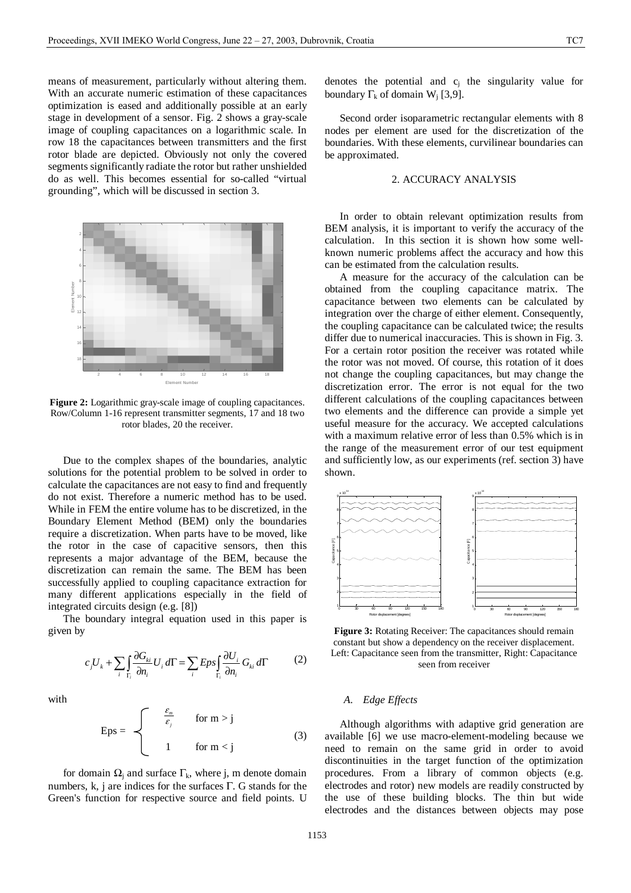means of measurement, particularly without altering them. With an accurate numeric estimation of these capacitances optimization is eased and additionally possible at an early stage in development of a sensor. Fig. 2 shows a gray-scale image of coupling capacitances on a logarithmic scale. In row 18 the capacitances between transmitters and the first rotor blade are depicted. Obviously not only the covered segments significantly radiate the rotor but rather unshielded do as well. This becomes essential for so-called "virtual grounding", which will be discussed in section 3.



**Figure 2:** Logarithmic gray-scale image of coupling capacitances. Row/Column 1-16 represent transmitter segments, 17 and 18 two rotor blades, 20 the receiver.

Due to the complex shapes of the boundaries, analytic solutions for the potential problem to be solved in order to calculate the capacitances are not easy to find and frequently do not exist. Therefore a numeric method has to be used. While in FEM the entire volume has to be discretized, in the Boundary Element Method (BEM) only the boundaries require a discretization. When parts have to be moved, like the rotor in the case of capacitive sensors, then this represents a major advantage of the BEM, because the discretization can remain the same. The BEM has been successfully applied to coupling capacitance extraction for many different applications especially in the field of integrated circuits design (e.g. [8])

The boundary integral equation used in this paper is given by

$$
c_j U_k + \sum_i \int_{\Gamma_i} \frac{\partial G_{ki}}{\partial n_i} U_i d\Gamma = \sum_i Eps \int_{\Gamma_i} \frac{\partial U_i}{\partial n_i} G_{ki} d\Gamma
$$
 (2)

with

$$
Eps = \begin{cases} \frac{\varepsilon_m}{\varepsilon_j} & \text{for } m > j \\ 1 & \text{for } m < j \end{cases}
$$
 (3)

for domain  $\Omega_i$  and surface  $\Gamma_k$ , where j, m denote domain numbers, k, j are indices for the surfaces Γ. G stands for the Green's function for respective source and field points. U denotes the potential and  $c_i$  the singularity value for boundary  $\Gamma_k$  of domain W<sub>i</sub> [3,9].

Second order isoparametric rectangular elements with 8 nodes per element are used for the discretization of the boundaries. With these elements, curvilinear boundaries can be approximated.

## 2. ACCURACY ANALYSIS

In order to obtain relevant optimization results from BEM analysis, it is important to verify the accuracy of the calculation. In this section it is shown how some wellknown numeric problems affect the accuracy and how this can be estimated from the calculation results.

A measure for the accuracy of the calculation can be obtained from the coupling capacitance matrix. The capacitance between two elements can be calculated by integration over the charge of either element. Consequently, the coupling capacitance can be calculated twice; the results differ due to numerical inaccuracies. This is shown in Fig. 3. For a certain rotor position the receiver was rotated while the rotor was not moved. Of course, this rotation of it does not change the coupling capacitances, but may change the discretization error. The error is not equal for the two different calculations of the coupling capacitances between two elements and the difference can provide a simple yet useful measure for the accuracy. We accepted calculations with a maximum relative error of less than 0.5% which is in the range of the measurement error of our test equipment and sufficiently low, as our experiments (ref. section 3) have shown.



**Figure 3:** Rotating Receiver: The capacitances should remain constant but show a dependency on the receiver displacement. Left: Capacitance seen from the transmitter, Right: Capacitance seen from receiver

## *A. Edge Effects*

Although algorithms with adaptive grid generation are available [6] we use macro-element-modeling because we need to remain on the same grid in order to avoid discontinuities in the target function of the optimization procedures. From a library of common objects (e.g. electrodes and rotor) new models are readily constructed by the use of these building blocks. The thin but wide electrodes and the distances between objects may pose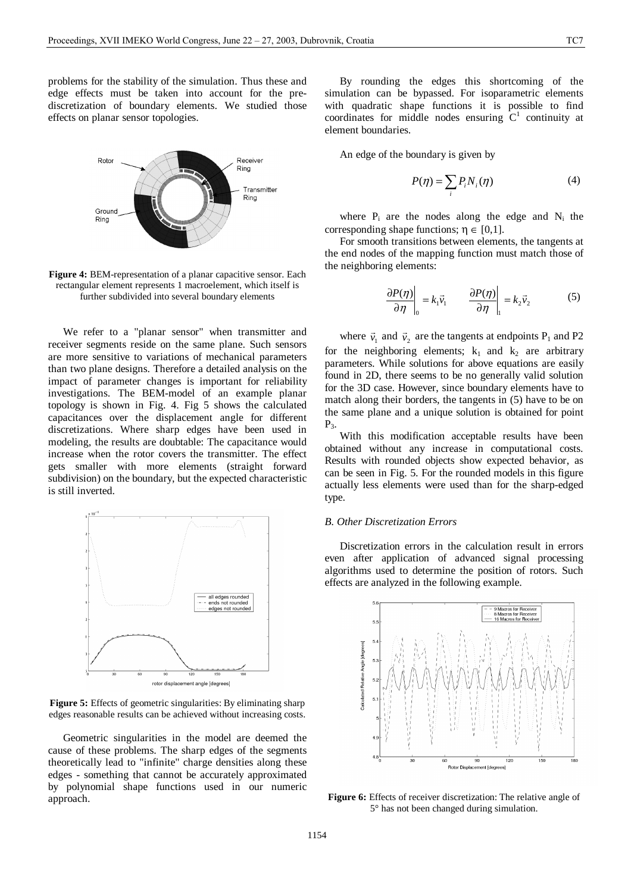problems for the stability of the simulation. Thus these and edge effects must be taken into account for the prediscretization of boundary elements. We studied those effects on planar sensor topologies.



**Figure 4:** BEM-representation of a planar capacitive sensor. Each rectangular element represents 1 macroelement, which itself is further subdivided into several boundary elements

We refer to a "planar sensor" when transmitter and receiver segments reside on the same plane. Such sensors are more sensitive to variations of mechanical parameters than two plane designs. Therefore a detailed analysis on the impact of parameter changes is important for reliability investigations. The BEM-model of an example planar topology is shown in Fig. 4. Fig 5 shows the calculated capacitances over the displacement angle for different discretizations. Where sharp edges have been used in modeling, the results are doubtable: The capacitance would increase when the rotor covers the transmitter. The effect gets smaller with more elements (straight forward subdivision) on the boundary, but the expected characteristic is still inverted.



Figure 5: Effects of geometric singularities: By eliminating sharp edges reasonable results can be achieved without increasing costs.

Geometric singularities in the model are deemed the cause of these problems. The sharp edges of the segments theoretically lead to "infinite" charge densities along these edges - something that cannot be accurately approximated by polynomial shape functions used in our numeric approach.

By rounding the edges this shortcoming of the simulation can be bypassed. For isoparametric elements with quadratic shape functions it is possible to find coordinates for middle nodes ensuring  $C<sup>1</sup>$  continuity at element boundaries.

An edge of the boundary is given by

$$
P(\eta) = \sum_{i} P_i N_i(\eta) \tag{4}
$$

where  $P_i$  are the nodes along the edge and  $N_i$  the corresponding shape functions;  $\eta \in [0,1]$ .

For smooth transitions between elements, the tangents at the end nodes of the mapping function must match those of the neighboring elements:

$$
\left. \frac{\partial P(\eta)}{\partial \eta} \right|_0 = k_1 \vec{v}_1 \qquad \left. \frac{\partial P(\eta)}{\partial \eta} \right|_1 = k_2 \vec{v}_2 \tag{5}
$$

where  $\vec{v}_1$  and  $\vec{v}_2$  are the tangents at endpoints P<sub>1</sub> and P2 for the neighboring elements;  $k_1$  and  $k_2$  are arbitrary parameters. While solutions for above equations are easily found in 2D, there seems to be no generally valid solution for the 3D case. However, since boundary elements have to match along their borders, the tangents in (5) have to be on the same plane and a unique solution is obtained for point  $P_3$ .

With this modification acceptable results have been obtained without any increase in computational costs. Results with rounded objects show expected behavior, as can be seen in Fig. 5. For the rounded models in this figure actually less elements were used than for the sharp-edged type.

#### *B. Other Discretization Errors*

Discretization errors in the calculation result in errors even after application of advanced signal processing algorithms used to determine the position of rotors. Such effects are analyzed in the following example.



**Figure 6:** Effects of receiver discretization: The relative angle of 5° has not been changed during simulation.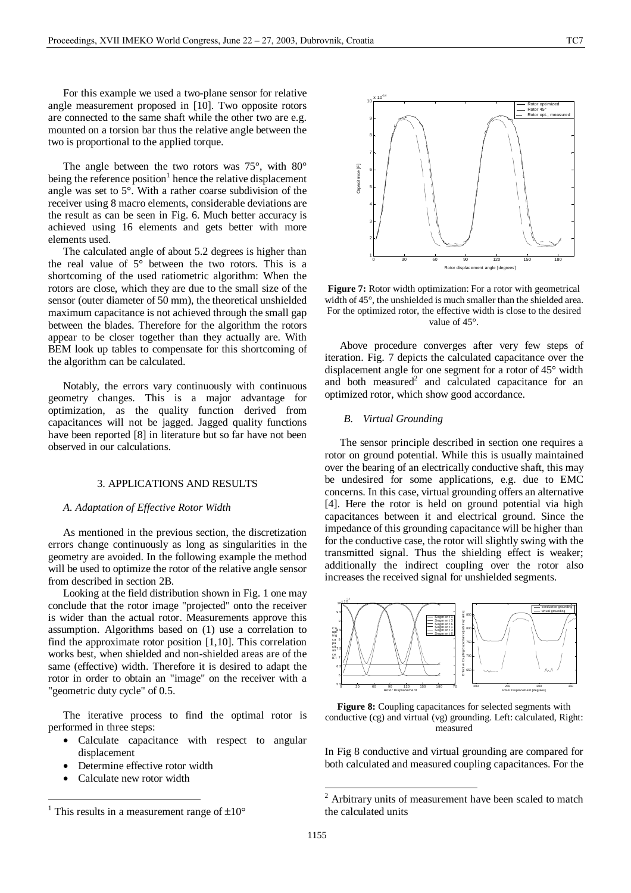For this example we used a two-plane sensor for relative angle measurement proposed in [10]. Two opposite rotors are connected to the same shaft while the other two are e.g. mounted on a torsion bar thus the relative angle between the two is proportional to the applied torque.

The angle between the two rotors was 75°, with 80° being the reference position<sup>1</sup> hence the relative displacement angle was set to 5°. With a rather coarse subdivision of the receiver using 8 macro elements, considerable deviations are the result as can be seen in Fig. 6. Much better accuracy is achieved using 16 elements and gets better with more elements used.

The calculated angle of about 5.2 degrees is higher than the real value of 5° between the two rotors. This is a shortcoming of the used ratiometric algorithm: When the rotors are close, which they are due to the small size of the sensor (outer diameter of 50 mm), the theoretical unshielded maximum capacitance is not achieved through the small gap between the blades. Therefore for the algorithm the rotors appear to be closer together than they actually are. With BEM look up tables to compensate for this shortcoming of the algorithm can be calculated.

Notably, the errors vary continuously with continuous geometry changes. This is a major advantage for optimization, as the quality function derived from capacitances will not be jagged. Jagged quality functions have been reported [8] in literature but so far have not been observed in our calculations.

## 3. APPLICATIONS AND RESULTS

## *A. Adaptation of Effective Rotor Width*

As mentioned in the previous section, the discretization errors change continuously as long as singularities in the geometry are avoided. In the following example the method will be used to optimize the rotor of the relative angle sensor from described in section 2B.

Looking at the field distribution shown in Fig. 1 one may conclude that the rotor image "projected" onto the receiver is wider than the actual rotor. Measurements approve this assumption. Algorithms based on (1) use a correlation to find the approximate rotor position [1,10]. This correlation works best, when shielded and non-shielded areas are of the same (effective) width. Therefore it is desired to adapt the rotor in order to obtain an "image" on the receiver with a "geometric duty cycle" of 0.5.

The iterative process to find the optimal rotor is performed in three steps:

- Calculate capacitance with respect to angular displacement
- Determine effective rotor width
- Calculate new rotor width

Rotor optimized Rotor 45° Rotor opt., measured 9 8 7 apacitance [F] Capacitance [F] 6 5 4 3 2 <sup>0</sup> <sup>30</sup> <sup>60</sup> <sup>90</sup> <sup>120</sup> <sup>150</sup> <sup>180</sup> <sup>1</sup> Rotor displacement angle [degrees]

**Figure 7:** Rotor width optimization: For a rotor with geometrical width of 45°, the unshielded is much smaller than the shielded area. For the optimized rotor, the effective width is close to the desired value of 45°.

Above procedure converges after very few steps of iteration. Fig. 7 depicts the calculated capacitance over the displacement angle for one segment for a rotor of 45° width and both measured<sup>2</sup> and calculated capacitance for an optimized rotor, which show good accordance.

#### *B. Virtual Grounding*

 $10 \frac{\text{x} 10^{-14}}{1}$ 

The sensor principle described in section one requires a rotor on ground potential. While this is usually maintained over the bearing of an electrically conductive shaft, this may be undesired for some applications, e.g. due to EMC concerns. In this case, virtual grounding offers an alternative [4]. Here the rotor is held on ground potential via high capacitances between it and electrical ground. Since the impedance of this grounding capacitance will be higher than for the conductive case, the rotor will slightly swing with the transmitted signal. Thus the shielding effect is weaker; additionally the indirect coupling over the rotor also increases the received signal for unshielded segments.



**Figure 8:** Coupling capacitances for selected segments with conductive (cg) and virtual (vg) grounding. Left: calculated, Right: measured

In Fig 8 conductive and virtual grounding are compared for both calculated and measured coupling capacitances. For the

<sup>&</sup>lt;sup>1</sup> This results in a measurement range of  $\pm 10^{\circ}$ 

<sup>2</sup> Arbitrary units of measurement have been scaled to match the calculated units